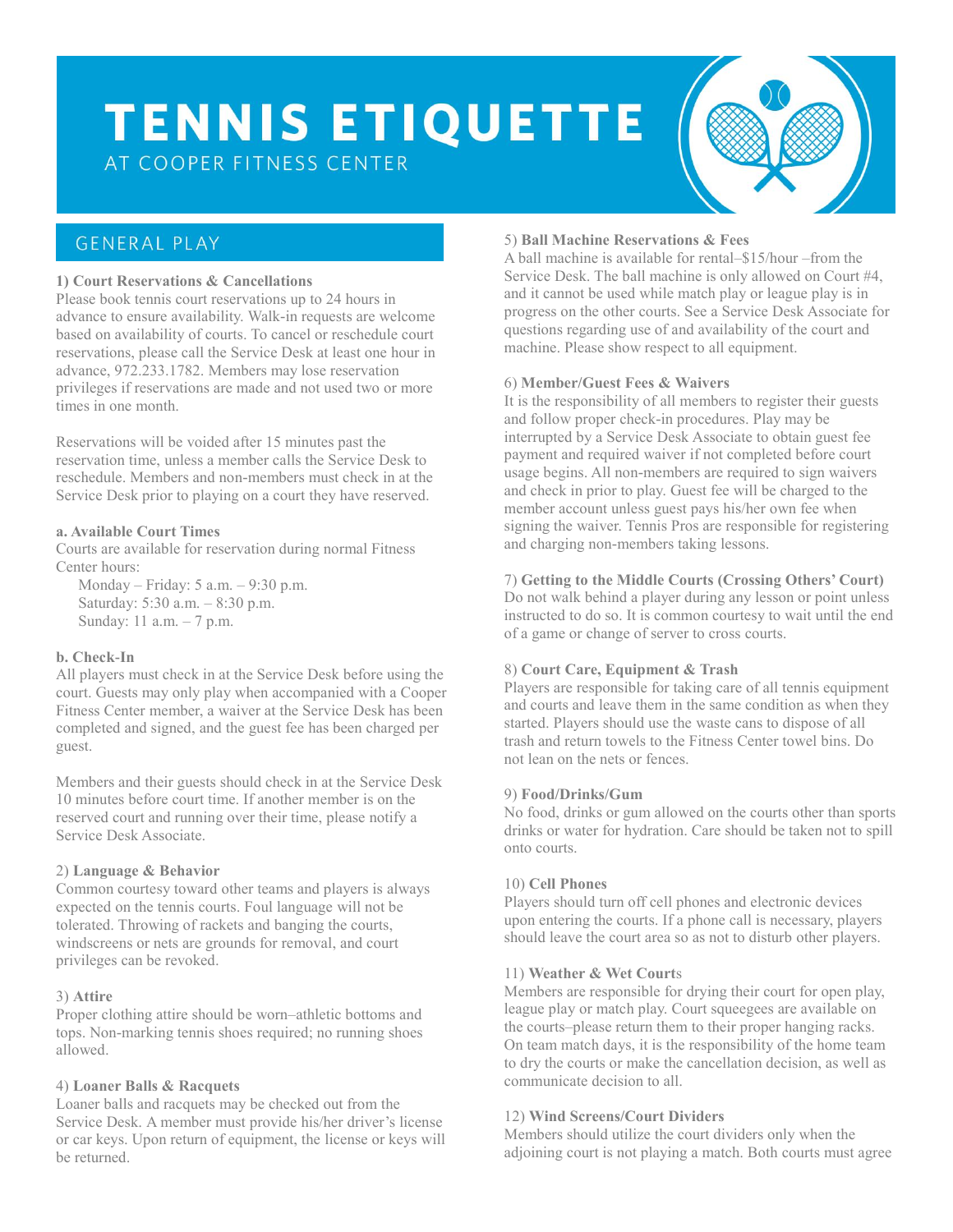# **TENNIS ETIQUETTE**

AT COOPER FITNESS CENTER

## **GENERAL PLAY**

#### **1) Court Reservations & Cancellations**

Please book tennis court reservations up to 24 hours in advance to ensure availability. Walk-in requests are welcome based on availability of courts. To cancel or reschedule court reservations, please call the Service Desk at least one hour in advance, 972.233.1782. Members may lose reservation privileges if reservations are made and not used two or more times in one month.

Reservations will be voided after 15 minutes past the reservation time, unless a member calls the Service Desk to reschedule. Members and non-members must check in at the Service Desk prior to playing on a court they have reserved.

#### **a. Available Court Times**

Courts are available for reservation during normal Fitness Center hours:

Monday – Friday: 5 a.m. – 9:30 p.m. Saturday: 5:30 a.m. – 8:30 p.m. Sunday: 11 a.m. – 7 p.m.

#### **b. Check-In**

All players must check in at the Service Desk before using the court. Guests may only play when accompanied with a Cooper Fitness Center member, a waiver at the Service Desk has been completed and signed, and the guest fee has been charged per guest.

Members and their guests should check in at the Service Desk 10 minutes before court time. If another member is on the reserved court and running over their time, please notify a Service Desk Associate.

#### 2) **Language & Behavior**

Common courtesy toward other teams and players is always expected on the tennis courts. Foul language will not be tolerated. Throwing of rackets and banging the courts, windscreens or nets are grounds for removal, and court privileges can be revoked.

#### 3) **Attire**

Proper clothing attire should be worn–athletic bottoms and tops. Non-marking tennis shoes required; no running shoes allowed.

#### 4) **Loaner Balls & Racquets**

Loaner balls and racquets may be checked out from the Service Desk. A member must provide his/her driver's license or car keys. Upon return of equipment, the license or keys will be returned.

### 5) **Ball Machine Reservations & Fees**

A ball machine is available for rental–\$15/hour –from the Service Desk. The ball machine is only allowed on Court #4, and it cannot be used while match play or league play is in progress on the other courts. See a Service Desk Associate for questions regarding use of and availability of the court and machine. Please show respect to all equipment.

#### 6) **Member/Guest Fees & Waivers**

It is the responsibility of all members to register their guests and follow proper check-in procedures. Play may be interrupted by a Service Desk Associate to obtain guest fee payment and required waiver if not completed before court usage begins. All non-members are required to sign waivers and check in prior to play. Guest fee will be charged to the member account unless guest pays his/her own fee when signing the waiver. Tennis Pros are responsible for registering and charging non-members taking lessons.

#### 7) **Getting to the Middle Courts (Crossing Others' Court)**

Do not walk behind a player during any lesson or point unless instructed to do so. It is common courtesy to wait until the end of a game or change of server to cross courts.

#### 8) **Court Care, Equipment & Trash**

Players are responsible for taking care of all tennis equipment and courts and leave them in the same condition as when they started. Players should use the waste cans to dispose of all trash and return towels to the Fitness Center towel bins. Do not lean on the nets or fences.

#### 9) **Food/Drinks/Gum**

No food, drinks or gum allowed on the courts other than sports drinks or water for hydration. Care should be taken not to spill onto courts.

#### 10) **Cell Phones**

Players should turn off cell phones and electronic devices upon entering the courts. If a phone call is necessary, players should leave the court area so as not to disturb other players.

#### 11) **Weather & Wet Court**s

Members are responsible for drying their court for open play, league play or match play. Court squeegees are available on the courts–please return them to their proper hanging racks. On team match days, it is the responsibility of the home team to dry the courts or make the cancellation decision, as well as communicate decision to all.

#### 12) **Wind Screens/Court Dividers**

Members should utilize the court dividers only when the adjoining court is not playing a match. Both courts must agree